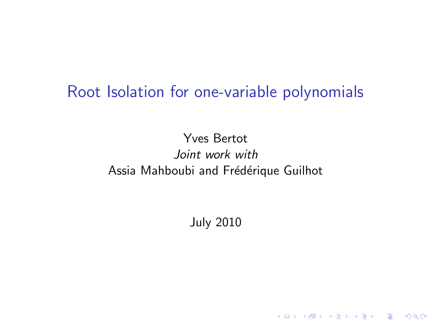### Root Isolation for one-variable polynomials

#### Yves Bertot Joint work with Assia Mahboubi and Frédérique Guilhot

July 2010

K ロ ▶ K @ ▶ K 할 > K 할 > 1 할 > 1 이익어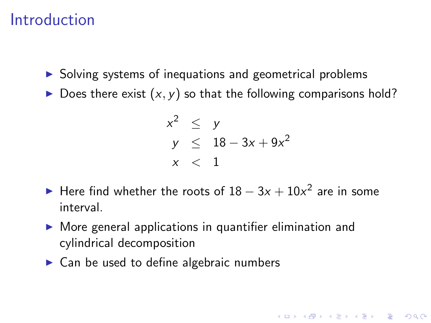### **Introduction**

- $\triangleright$  Solving systems of inequations and geometrical problems
- $\triangleright$  Does there exist  $(x, y)$  so that the following comparisons hold?

$$
x2 \leq y
$$
  
\n
$$
y \leq 18 - 3x + 9x2
$$
  
\n
$$
x < 1
$$

- ► Here find whether the roots of  $18 3x + 10x^2$  are in some interval.
- $\triangleright$  More general applications in quantifier elimination and cylindrical decomposition
- $\blacktriangleright$  Can be used to define algebraic numbers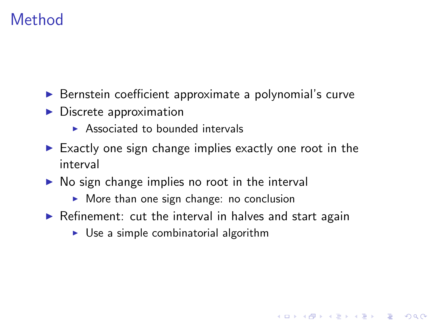# Method

- $\triangleright$  Bernstein coefficient approximate a polynomial's curve
- $\blacktriangleright$  Discrete approximation
	- $\triangleright$  Associated to bounded intervals
- $\blacktriangleright$  Exactly one sign change implies exactly one root in the interval
- $\triangleright$  No sign change implies no root in the interval
	- $\triangleright$  More than one sign change: no conclusion
- $\triangleright$  Refinement: cut the interval in halves and start again

**KORK ERKER ADE YOUR** 

 $\triangleright$  Use a simple combinatorial algorithm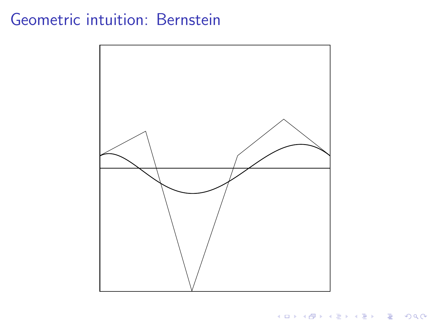# Geometric intuition: Bernstein



**K ロ K イロ K イミ K K モ K ミニ や R (^**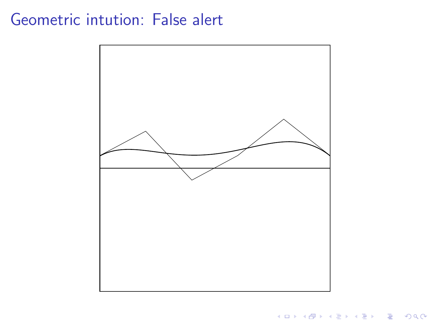# Geometric intution: False alert



**K ロ K イロ K イミ K K モ K ミニ や R (^**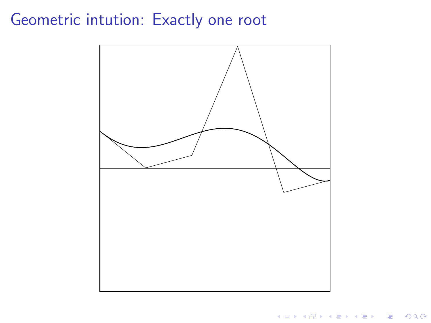# Geometric intution: Exactly one root



イロト イ御 トイミト イミト ニミー りんぴ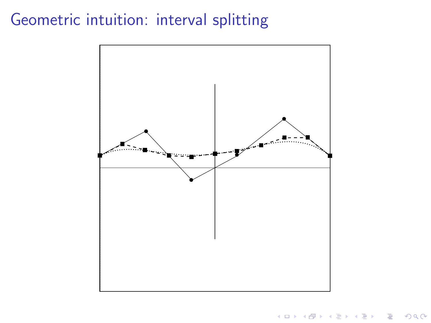# Geometric intuition: interval splitting



K ロ X イロ X K ミ X K ミ X ミ X Y Q Q Q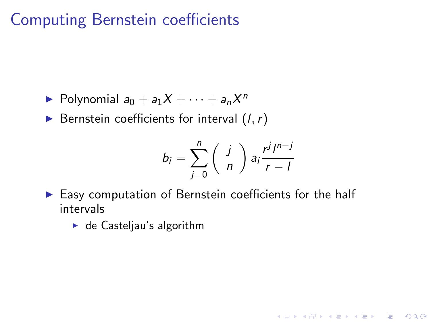# Computing Bernstein coefficients

- $\blacktriangleright$  Polynomial  $a_0 + a_1X + \cdots + a_nX^n$
- $\blacktriangleright$  Bernstein coefficients for interval  $(l, r)$

$$
b_i = \sum_{j=0}^n \binom{j}{n} a_i \frac{r^j l^{n-j}}{r-l}
$$

K ロ ▶ K @ ▶ K 할 > K 할 > 1 할 > 1 이익어

- $\blacktriangleright$  Easy computation of Bernstein coefficients for the half intervals
	- $\blacktriangleright$  de Casteljau's algorithm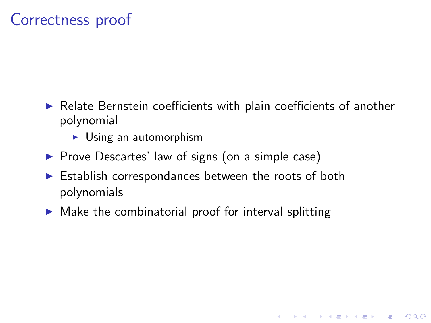# Correctness proof

 $\triangleright$  Relate Bernstein coefficients with plain coefficients of another polynomial

- $\triangleright$  Using an automorphism
- $\triangleright$  Prove Descartes' law of signs (on a simple case)
- $\triangleright$  Establish correspondances between the roots of both polynomials
- $\blacktriangleright$  Make the combinatorial proof for interval splitting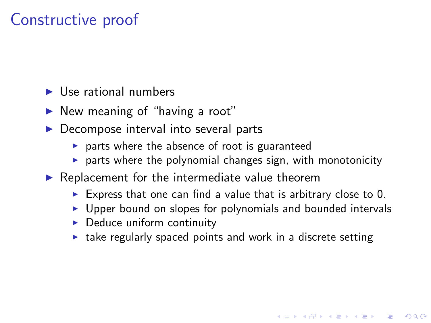# Constructive proof

- $\blacktriangleright$  Use rational numbers
- $\blacktriangleright$  New meaning of "having a root"
- $\triangleright$  Decompose interval into several parts
	- $\triangleright$  parts where the absence of root is guaranteed
	- $\triangleright$  parts where the polynomial changes sign, with monotonicity
- $\blacktriangleright$  Replacement for the intermediate value theorem
	- Express that one can find a value that is arbitrary close to  $0$ .
	- $\triangleright$  Upper bound on slopes for polynomials and bounded intervals

- $\triangleright$  Deduce uniform continuity
- $\blacktriangleright$  take regularly spaced points and work in a discrete setting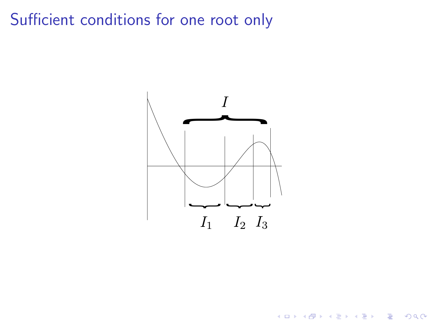Sufficient conditions for one root only



イロト イ母 トイミト イミト ニヨー りんぴ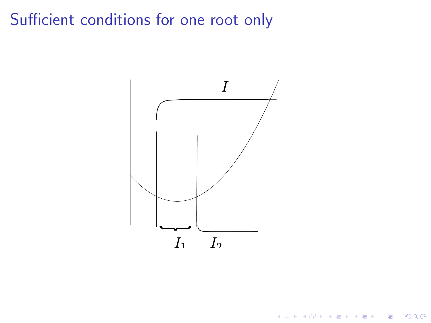# Sufficient conditions for one root only



K ロ X イロ X K ミ X K ミ X ミ X Y Q Q Q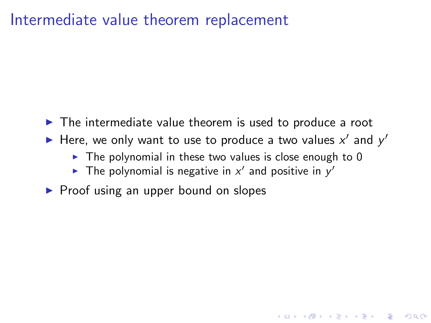### Intermediate value theorem replacement

- $\triangleright$  The intermediate value theorem is used to produce a root
- Here, we only want to use to produce a two values  $x'$  and  $y'$ 
	- $\triangleright$  The polynomial in these two values is close enough to 0

- The polynomial is negative in  $x'$  and positive in  $y'$
- $\triangleright$  Proof using an upper bound on slopes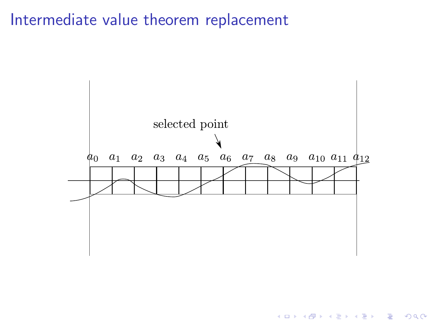### Intermediate value theorem replacement



K ロ > K @ > K 할 > K 할 > 1 할 : ⊙ Q Q^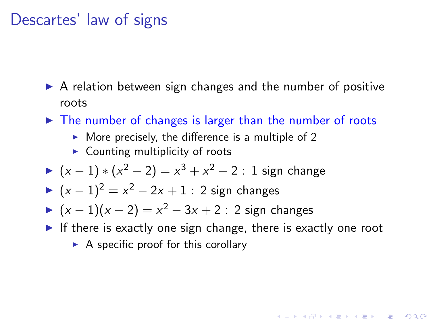### Descartes' law of signs

- $\triangleright$  A relation between sign changes and the number of positive roots
- $\triangleright$  The number of changes is larger than the number of roots
	- $\triangleright$  More precisely, the difference is a multiple of 2
	- $\triangleright$  Counting multiplicity of roots
- ►  $(x-1)*(x^2+2)=x^3+x^2-2:1$  sign change
- ►  $(x 1)^2 = x^2 2x + 1$  : 2 sign changes
- ►  $(x-1)(x-2) = x^2 3x + 2$ : 2 sign changes
- If there is exactly one sign change, there is exactly one root

**KORKAR KERKER EL VOLO** 

 $\triangleright$  A specific proof for this corollary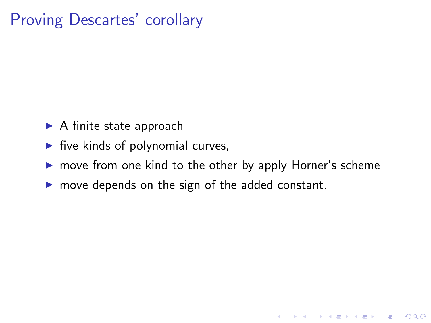# Proving Descartes' corollary

- $\blacktriangleright$  A finite state approach
- $\blacktriangleright$  five kinds of polynomial curves,
- $\triangleright$  move from one kind to the other by apply Horner's scheme

K ロ ▶ K @ ▶ K 할 > K 할 > 1 할 > 1 이익어

 $\triangleright$  move depends on the sign of the added constant.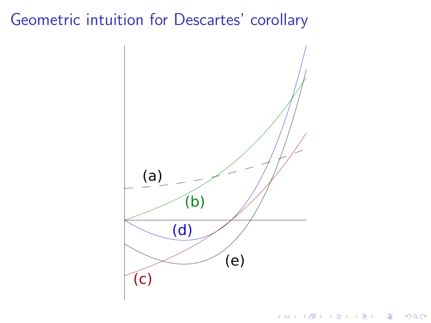### Geometric intuition for Descartes' corollary



 $299$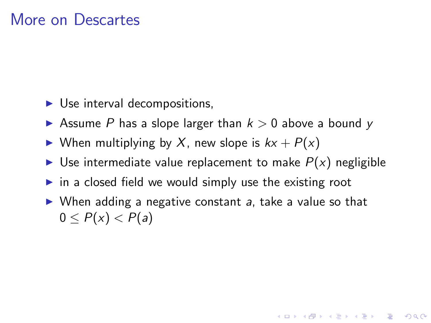### More on Descartes

- $\triangleright$  Use interval decompositions,
- Assume P has a slope larger than  $k > 0$  above a bound y
- $\triangleright$  When multiplying by X, new slope is  $kx + P(x)$
- $\triangleright$  Use intermediate value replacement to make  $P(x)$  negligible
- $\triangleright$  in a closed field we would simply use the existing root
- $\triangleright$  When adding a negative constant a, take a value so that  $0 < P(x) < P(a)$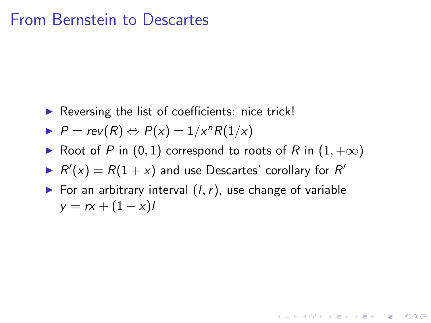#### From Bernstein to Descartes

 $\blacktriangleright$  Reversing the list of coefficients: nice trick!

$$
\blacktriangleright P = \textsf{rev}(R) \Leftrightarrow P(x) = 1/x^n R(1/x)
$$

- ▶ Root of P in  $(0, 1)$  correspond to roots of R in  $(1, +\infty)$
- $R'(x) = R(1+x)$  and use Descartes' corollary for  $R'(x)$
- $\blacktriangleright$  For an arbitrary interval  $(l, r)$ , use change of variable  $y = rx + (1 - x)l$

**K ロ ▶ K @ ▶ K 할 X X 할 X 및 할 X X Q Q O**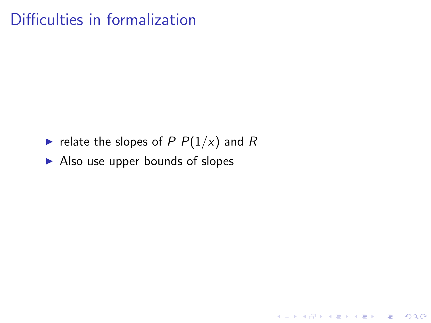# Difficulties in formalization

relate the slopes of P  $P(1/x)$  and R

K ロ ▶ K @ ▶ K 할 ▶ K 할 ▶ | 할 | © 9 Q @

 $\blacktriangleright$  Also use upper bounds of slopes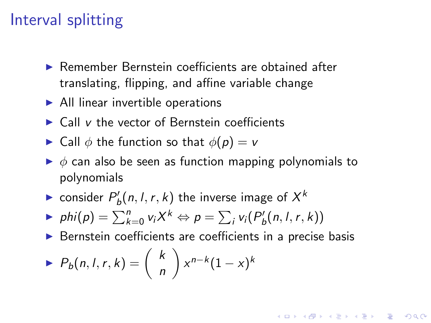# Interval splitting

- $\blacktriangleright$  Remember Bernstein coefficients are obtained after translating, flipping, and affine variable change
- $\blacktriangleright$  All linear invertible operations
- $\blacktriangleright$  Call v the vector of Bernstein coefficients
- $\triangleright$  Call  $\phi$  the function so that  $\phi(p) = v$
- $\triangleright \phi$  can also be seen as function mapping polynomials to polynomials
- consider  $P'_b(n, l, r, k)$  the inverse image of  $X^k$
- ▶ phi $(p) = \sum_{k=0}^{n} v_i X^k$   $\Leftrightarrow p = \sum_i v_i (P'_b(n, l, r, k))$
- $\triangleright$  Bernstein coefficients are coefficients in a precise basis

**KORKAR KERKER EL VOLO** 

$$
\blacktriangleright P_b(n,l,r,k) = {k \choose n} x^{n-k} (1-x)^k
$$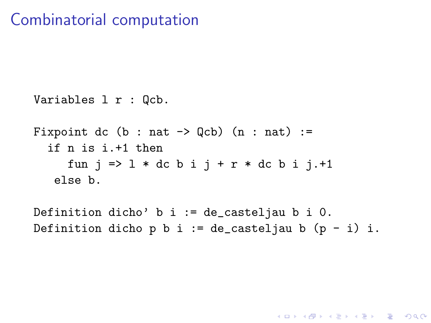### Combinatorial computation

```
Variables l r : Qcb.
Fixpoint dc (b : nat \rightarrow Qcb) (n : nat) :=
  if n is i.+1 then
     fun j \Rightarrow 1 * dc b i j + r * dc b i j.+1else b.
```
Definition dicho' b i := de\_casteljau b i 0. Definition dicho p b i := de\_casteljau b  $(p - i)$  i.

**KORKA SERKER ORA**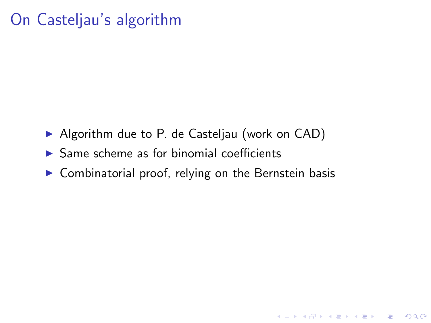# On Casteljau's algorithm

- $\blacktriangleright$  Algorithm due to P. de Casteljau (work on CAD)
- $\triangleright$  Same scheme as for binomial coefficients
- $\triangleright$  Combinatorial proof, relying on the Bernstein basis

**K ロ ▶ K @ ▶ K 할 X X 할 X 및 할 X X Q Q O**